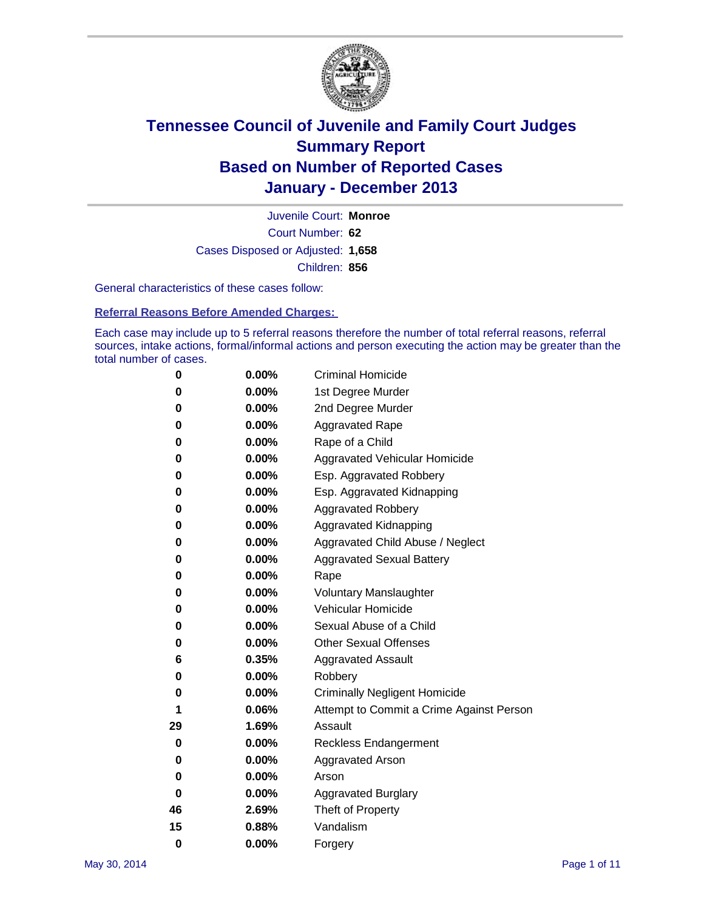

Court Number: **62** Juvenile Court: **Monroe** Cases Disposed or Adjusted: **1,658** Children: **856**

General characteristics of these cases follow:

**Referral Reasons Before Amended Charges:** 

Each case may include up to 5 referral reasons therefore the number of total referral reasons, referral sources, intake actions, formal/informal actions and person executing the action may be greater than the total number of cases.

| 0        | 0.00%    | <b>Criminal Homicide</b>                 |  |  |
|----------|----------|------------------------------------------|--|--|
| 0        | 0.00%    | 1st Degree Murder                        |  |  |
| 0        | 0.00%    | 2nd Degree Murder                        |  |  |
| 0        | $0.00\%$ | <b>Aggravated Rape</b>                   |  |  |
| 0        | 0.00%    | Rape of a Child                          |  |  |
| 0        | 0.00%    | <b>Aggravated Vehicular Homicide</b>     |  |  |
| 0        | 0.00%    | Esp. Aggravated Robbery                  |  |  |
| 0        | 0.00%    | Esp. Aggravated Kidnapping               |  |  |
| 0        | 0.00%    | <b>Aggravated Robbery</b>                |  |  |
| 0        | 0.00%    | Aggravated Kidnapping                    |  |  |
| 0        | 0.00%    | Aggravated Child Abuse / Neglect         |  |  |
| 0        | 0.00%    | <b>Aggravated Sexual Battery</b>         |  |  |
| 0        | 0.00%    | Rape                                     |  |  |
| 0        | 0.00%    | <b>Voluntary Manslaughter</b>            |  |  |
| 0        | 0.00%    | Vehicular Homicide                       |  |  |
| 0        | $0.00\%$ | Sexual Abuse of a Child                  |  |  |
| 0        | 0.00%    | <b>Other Sexual Offenses</b>             |  |  |
| 6        | 0.35%    | <b>Aggravated Assault</b>                |  |  |
| 0        | 0.00%    | Robbery                                  |  |  |
| 0        | 0.00%    | <b>Criminally Negligent Homicide</b>     |  |  |
| 1        | 0.06%    | Attempt to Commit a Crime Against Person |  |  |
| 29       | 1.69%    | Assault                                  |  |  |
| 0        | 0.00%    | <b>Reckless Endangerment</b>             |  |  |
| 0        | 0.00%    | <b>Aggravated Arson</b>                  |  |  |
| 0        | $0.00\%$ | Arson                                    |  |  |
| 0        | 0.00%    | <b>Aggravated Burglary</b>               |  |  |
| 46       | 2.69%    | Theft of Property                        |  |  |
| 15       | 0.88%    | Vandalism                                |  |  |
| $\bf{0}$ | 0.00%    | Forgery                                  |  |  |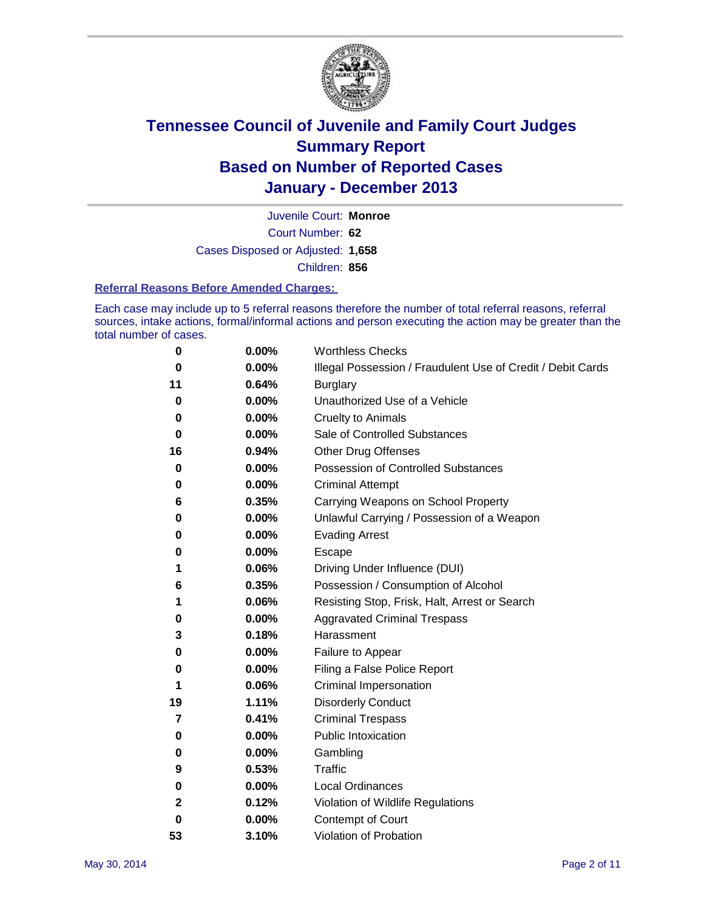

Court Number: **62** Juvenile Court: **Monroe** Cases Disposed or Adjusted: **1,658** Children: **856**

#### **Referral Reasons Before Amended Charges:**

Each case may include up to 5 referral reasons therefore the number of total referral reasons, referral sources, intake actions, formal/informal actions and person executing the action may be greater than the total number of cases.

| 0  | 0.00% | <b>Worthless Checks</b>                                     |  |  |
|----|-------|-------------------------------------------------------------|--|--|
| 0  | 0.00% | Illegal Possession / Fraudulent Use of Credit / Debit Cards |  |  |
| 11 | 0.64% | <b>Burglary</b>                                             |  |  |
| 0  | 0.00% | Unauthorized Use of a Vehicle                               |  |  |
| 0  | 0.00% | <b>Cruelty to Animals</b>                                   |  |  |
| 0  | 0.00% | Sale of Controlled Substances                               |  |  |
| 16 | 0.94% | <b>Other Drug Offenses</b>                                  |  |  |
| 0  | 0.00% | Possession of Controlled Substances                         |  |  |
| 0  | 0.00% | <b>Criminal Attempt</b>                                     |  |  |
| 6  | 0.35% | Carrying Weapons on School Property                         |  |  |
| 0  | 0.00% | Unlawful Carrying / Possession of a Weapon                  |  |  |
| 0  | 0.00% | <b>Evading Arrest</b>                                       |  |  |
| 0  | 0.00% | Escape                                                      |  |  |
| 1  | 0.06% | Driving Under Influence (DUI)                               |  |  |
| 6  | 0.35% | Possession / Consumption of Alcohol                         |  |  |
| 1  | 0.06% | Resisting Stop, Frisk, Halt, Arrest or Search               |  |  |
| 0  | 0.00% | <b>Aggravated Criminal Trespass</b>                         |  |  |
| 3  | 0.18% | Harassment                                                  |  |  |
| 0  | 0.00% | Failure to Appear                                           |  |  |
| 0  | 0.00% | Filing a False Police Report                                |  |  |
| 1  | 0.06% | Criminal Impersonation                                      |  |  |
| 19 | 1.11% | <b>Disorderly Conduct</b>                                   |  |  |
| 7  | 0.41% | <b>Criminal Trespass</b>                                    |  |  |
| 0  | 0.00% | <b>Public Intoxication</b>                                  |  |  |
| 0  | 0.00% | Gambling                                                    |  |  |
| 9  | 0.53% | Traffic                                                     |  |  |
| 0  | 0.00% | <b>Local Ordinances</b>                                     |  |  |
| 2  | 0.12% | Violation of Wildlife Regulations                           |  |  |
| 0  | 0.00% | Contempt of Court                                           |  |  |
| 53 | 3.10% | Violation of Probation                                      |  |  |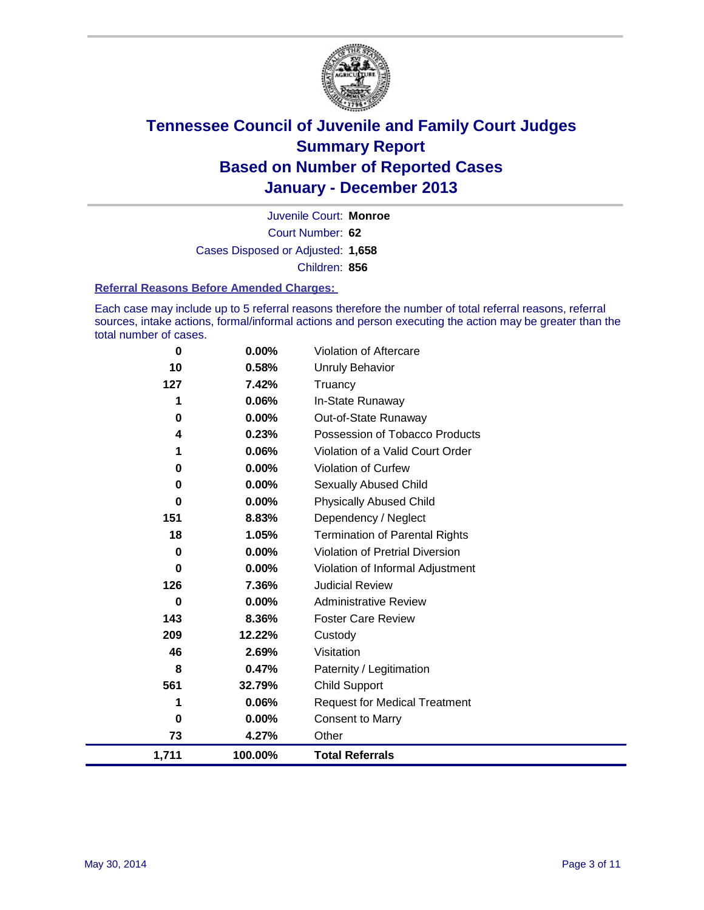

Court Number: **62** Juvenile Court: **Monroe** Cases Disposed or Adjusted: **1,658** Children: **856**

#### **Referral Reasons Before Amended Charges:**

Each case may include up to 5 referral reasons therefore the number of total referral reasons, referral sources, intake actions, formal/informal actions and person executing the action may be greater than the total number of cases.

| 1,711 | 100.00%  | <b>Total Referrals</b>                 |
|-------|----------|----------------------------------------|
| 73    | 4.27%    | Other                                  |
| 0     | 0.00%    | <b>Consent to Marry</b>                |
| 1     | 0.06%    | <b>Request for Medical Treatment</b>   |
| 561   | 32.79%   | <b>Child Support</b>                   |
| 8     | 0.47%    | Paternity / Legitimation               |
| 46    | 2.69%    | Visitation                             |
| 209   | 12.22%   | Custody                                |
| 143   | 8.36%    | <b>Foster Care Review</b>              |
| 0     | 0.00%    | <b>Administrative Review</b>           |
| 126   | 7.36%    | <b>Judicial Review</b>                 |
| 0     | 0.00%    | Violation of Informal Adjustment       |
| 0     | 0.00%    | <b>Violation of Pretrial Diversion</b> |
| 18    | 1.05%    | <b>Termination of Parental Rights</b>  |
| 151   | 8.83%    | Dependency / Neglect                   |
| 0     | 0.00%    | <b>Physically Abused Child</b>         |
| 0     | $0.00\%$ | Sexually Abused Child                  |
| 0     | 0.00%    | Violation of Curfew                    |
| 1     | 0.06%    | Violation of a Valid Court Order       |
| 4     | 0.23%    | Possession of Tobacco Products         |
| 0     | $0.00\%$ | Out-of-State Runaway                   |
| 1     | 0.06%    | In-State Runaway                       |
| 127   | 7.42%    | Truancy                                |
| 10    | 0.58%    | <b>Unruly Behavior</b>                 |
| 0     | 0.00%    | Violation of Aftercare                 |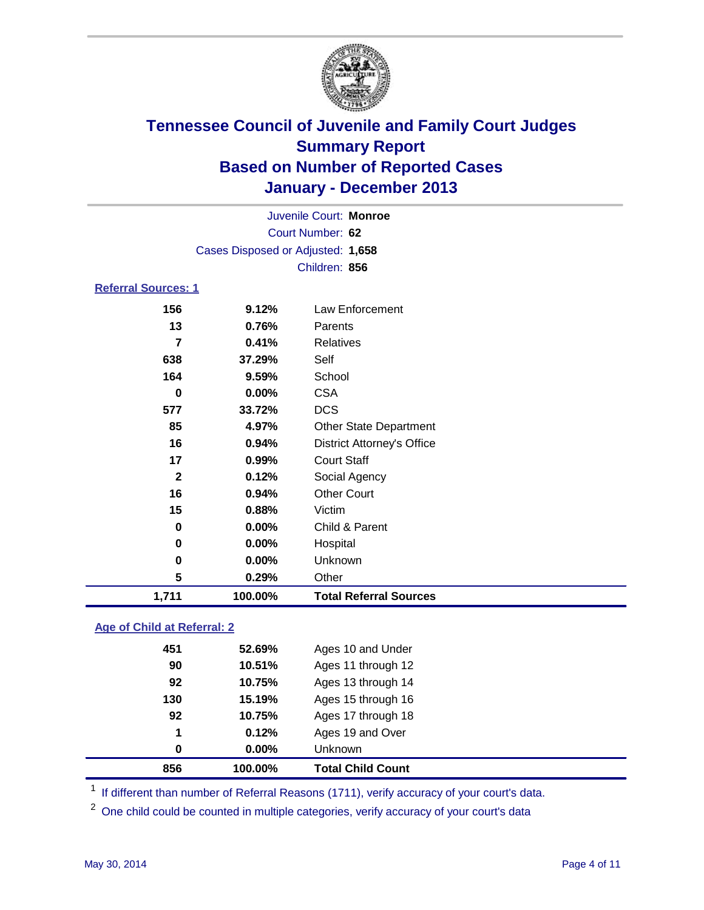

| Juvenile Court: Monroe      |                                   |                                   |  |
|-----------------------------|-----------------------------------|-----------------------------------|--|
| Court Number: 62            |                                   |                                   |  |
|                             | Cases Disposed or Adjusted: 1,658 |                                   |  |
|                             |                                   | Children: 856                     |  |
| <b>Referral Sources: 1</b>  |                                   |                                   |  |
| 156                         | 9.12%                             | Law Enforcement                   |  |
| 13                          | 0.76%                             | Parents                           |  |
| $\overline{7}$              | 0.41%                             | <b>Relatives</b>                  |  |
| 638                         | 37.29%                            | Self                              |  |
| 164                         | 9.59%                             | School                            |  |
| $\bf{0}$                    | 0.00%                             | <b>CSA</b>                        |  |
| 577                         | 33.72%                            | <b>DCS</b>                        |  |
| 85                          | 4.97%                             | <b>Other State Department</b>     |  |
| 16                          | 0.94%                             | <b>District Attorney's Office</b> |  |
| 17                          | 0.99%                             | <b>Court Staff</b>                |  |
| $\mathbf{2}$                | 0.12%                             | Social Agency                     |  |
| 16                          | 0.94%                             | <b>Other Court</b>                |  |
| 15                          | 0.88%                             | Victim                            |  |
| 0                           | 0.00%                             | Child & Parent                    |  |
| 0                           | 0.00%                             | Hospital                          |  |
| 0                           | 0.00%                             | Unknown                           |  |
| 5                           | 0.29%                             | Other                             |  |
| 1,711                       | 100.00%                           | <b>Total Referral Sources</b>     |  |
| Age of Child at Referral: 2 |                                   |                                   |  |
| 451                         | 52.69%                            | Ages 10 and Under                 |  |

| 856  | 100.00%      | <b>Total Child Count</b> |
|------|--------------|--------------------------|
| 0    | $0.00\%$     | <b>Unknown</b>           |
| 1    | 0.12%        | Ages 19 and Over         |
| 92   | 10.75%       | Ages 17 through 18       |
| 130  | 15.19%       | Ages 15 through 16       |
| 92   | 10.75%       | Ages 13 through 14       |
| 90   | 10.51%       | Ages 11 through 12       |
| 45 I | <b>PAGES</b> | Ages TO and Under        |

<sup>1</sup> If different than number of Referral Reasons (1711), verify accuracy of your court's data.

<sup>2</sup> One child could be counted in multiple categories, verify accuracy of your court's data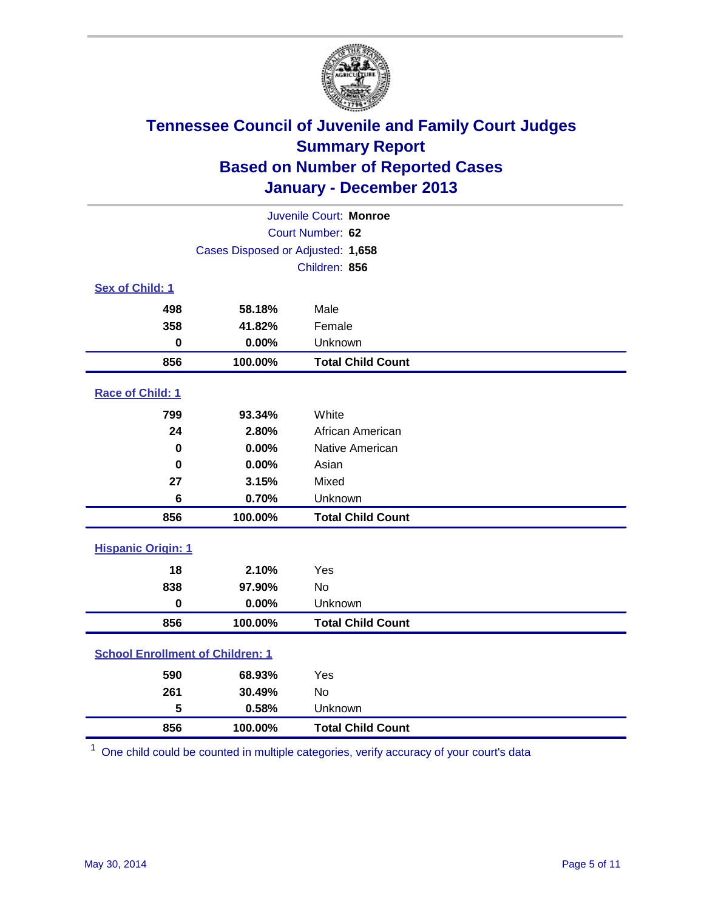

| Juvenile Court: Monroe                  |                                   |                          |  |  |
|-----------------------------------------|-----------------------------------|--------------------------|--|--|
|                                         | Court Number: 62                  |                          |  |  |
|                                         | Cases Disposed or Adjusted: 1,658 |                          |  |  |
|                                         |                                   | Children: 856            |  |  |
| Sex of Child: 1                         |                                   |                          |  |  |
| 498                                     | 58.18%                            | Male                     |  |  |
| 358                                     | 41.82%                            | Female                   |  |  |
| $\bf{0}$                                | 0.00%                             | Unknown                  |  |  |
| 856                                     | 100.00%                           | <b>Total Child Count</b> |  |  |
| Race of Child: 1                        |                                   |                          |  |  |
| 799                                     | 93.34%                            | White                    |  |  |
| 24                                      | 2.80%                             | African American         |  |  |
| 0                                       | 0.00%                             | Native American          |  |  |
| $\mathbf 0$                             | 0.00%                             | Asian                    |  |  |
| 27                                      | 3.15%                             | Mixed                    |  |  |
| $6\phantom{1}6$                         | 0.70%                             | Unknown                  |  |  |
| 856                                     | 100.00%                           | <b>Total Child Count</b> |  |  |
| <b>Hispanic Origin: 1</b>               |                                   |                          |  |  |
| 18                                      | 2.10%                             | Yes                      |  |  |
| 838                                     | 97.90%                            | <b>No</b>                |  |  |
| $\bf{0}$                                | 0.00%                             | Unknown                  |  |  |
| 856                                     | 100.00%                           | <b>Total Child Count</b> |  |  |
| <b>School Enrollment of Children: 1</b> |                                   |                          |  |  |
| 590                                     | 68.93%                            | Yes                      |  |  |
| 261                                     | 30.49%                            | <b>No</b>                |  |  |
| 5                                       | 0.58%                             | Unknown                  |  |  |
| 856                                     | 100.00%                           | <b>Total Child Count</b> |  |  |

One child could be counted in multiple categories, verify accuracy of your court's data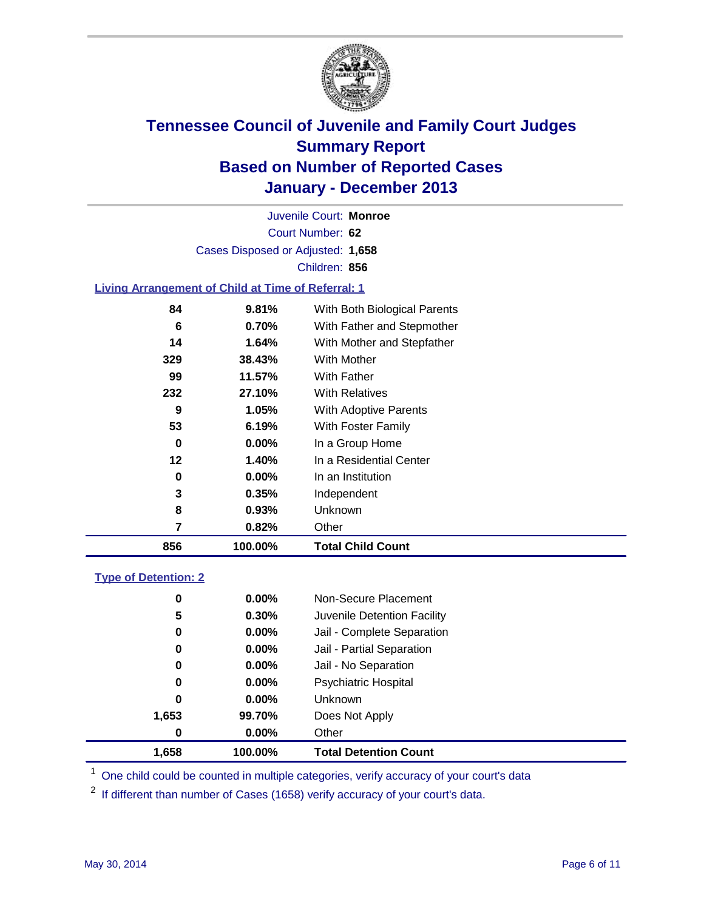

Court Number: **62** Juvenile Court: **Monroe** Cases Disposed or Adjusted: **1,658** Children: **856**

### **Living Arrangement of Child at Time of Referral: 1**

| 856 | 100.00%  | <b>Total Child Count</b>     |
|-----|----------|------------------------------|
| 7   | 0.82%    | Other                        |
| 8   | 0.93%    | Unknown                      |
| 3   | 0.35%    | Independent                  |
| 0   | $0.00\%$ | In an Institution            |
| 12  | 1.40%    | In a Residential Center      |
| 0   | $0.00\%$ | In a Group Home              |
| 53  | 6.19%    | With Foster Family           |
| 9   | 1.05%    | <b>With Adoptive Parents</b> |
| 232 | 27.10%   | <b>With Relatives</b>        |
| 99  | 11.57%   | With Father                  |
| 329 | 38.43%   | With Mother                  |
| 14  | 1.64%    | With Mother and Stepfather   |
| 6   | 0.70%    | With Father and Stepmother   |
| 84  | 9.81%    | With Both Biological Parents |
|     |          |                              |

#### **Type of Detention: 2**

| 1,658 | 100.00%  | <b>Total Detention Count</b> |  |
|-------|----------|------------------------------|--|
| 0     | 0.00%    | Other                        |  |
| 1,653 | 99.70%   | Does Not Apply               |  |
| 0     | $0.00\%$ | <b>Unknown</b>               |  |
| 0     | $0.00\%$ | <b>Psychiatric Hospital</b>  |  |
| 0     | 0.00%    | Jail - No Separation         |  |
| 0     | 0.00%    | Jail - Partial Separation    |  |
| 0     | 0.00%    | Jail - Complete Separation   |  |
| 5     | 0.30%    | Juvenile Detention Facility  |  |
| 0     | 0.00%    | Non-Secure Placement         |  |
|       |          |                              |  |

<sup>1</sup> One child could be counted in multiple categories, verify accuracy of your court's data

<sup>2</sup> If different than number of Cases (1658) verify accuracy of your court's data.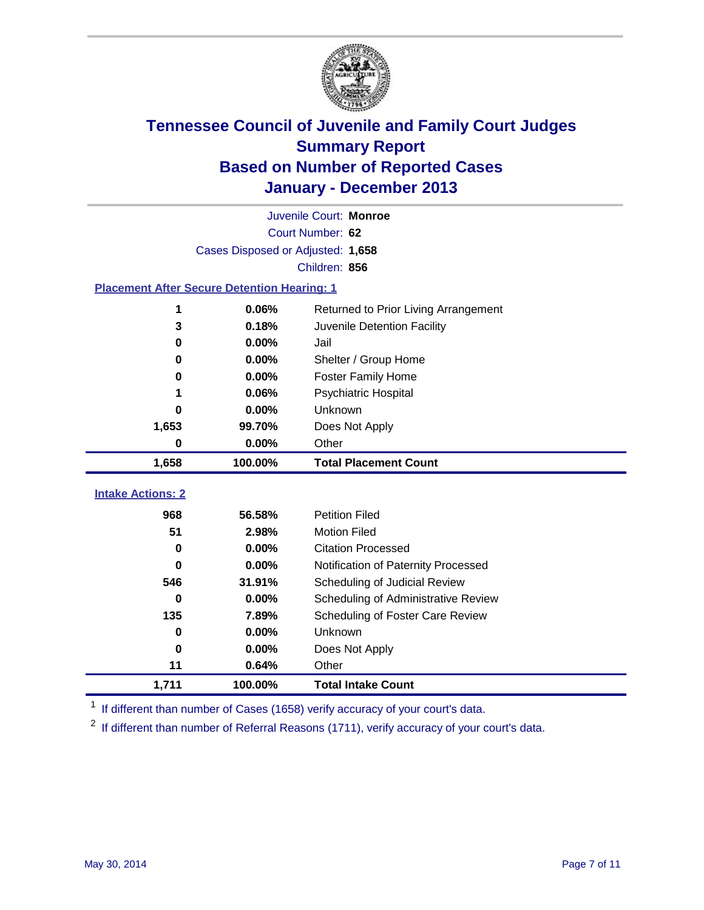

|                                                    | Juvenile Court: Monroe            |                                      |  |  |  |
|----------------------------------------------------|-----------------------------------|--------------------------------------|--|--|--|
|                                                    | Court Number: 62                  |                                      |  |  |  |
|                                                    | Cases Disposed or Adjusted: 1,658 |                                      |  |  |  |
|                                                    |                                   | Children: 856                        |  |  |  |
| <b>Placement After Secure Detention Hearing: 1</b> |                                   |                                      |  |  |  |
| 1                                                  | 0.06%                             | Returned to Prior Living Arrangement |  |  |  |
| 3                                                  | 0.18%                             | Juvenile Detention Facility          |  |  |  |
| 0                                                  | 0.00%                             | Jail                                 |  |  |  |
| 0                                                  | 0.00%                             | Shelter / Group Home                 |  |  |  |
| 0                                                  | 0.00%                             | <b>Foster Family Home</b>            |  |  |  |
| 1                                                  | 0.06%                             | <b>Psychiatric Hospital</b>          |  |  |  |
| 0                                                  | 0.00%                             | Unknown                              |  |  |  |
| 1,653                                              | 99.70%                            | Does Not Apply                       |  |  |  |
| 0                                                  | 0.00%                             | Other                                |  |  |  |
| 1,658                                              | 100.00%                           | <b>Total Placement Count</b>         |  |  |  |
|                                                    |                                   |                                      |  |  |  |
| <b>Intake Actions: 2</b>                           |                                   |                                      |  |  |  |
| 968                                                | 56.58%                            | <b>Petition Filed</b>                |  |  |  |
| 51                                                 | 2.98%                             | <b>Motion Filed</b>                  |  |  |  |
| 0                                                  | 0.00%                             | <b>Citation Processed</b>            |  |  |  |
| 0                                                  | 0.00%                             | Notification of Paternity Processed  |  |  |  |
| 546                                                | 31.91%                            | Scheduling of Judicial Review        |  |  |  |
| 0                                                  | 0.00%                             | Scheduling of Administrative Review  |  |  |  |
| 135                                                | 7.89%                             | Scheduling of Foster Care Review     |  |  |  |
| 0                                                  | 0.00%                             | Unknown                              |  |  |  |
| 0                                                  | 0.00%                             | Does Not Apply                       |  |  |  |
| 11                                                 | 0.64%                             | Other                                |  |  |  |
| 1,711                                              | 100.00%                           | <b>Total Intake Count</b>            |  |  |  |

<sup>1</sup> If different than number of Cases (1658) verify accuracy of your court's data.

 $2$  If different than number of Referral Reasons (1711), verify accuracy of your court's data.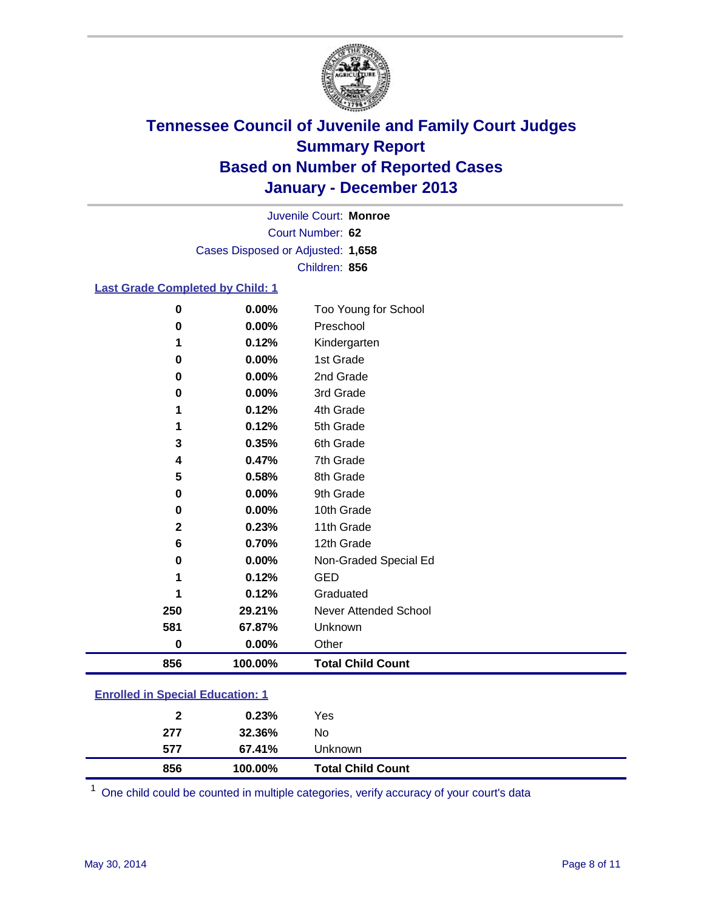

Court Number: **62** Juvenile Court: **Monroe** Cases Disposed or Adjusted: **1,658** Children: **856**

#### **Last Grade Completed by Child: 1**

| 856          | 100.00% | <b>Total Child Count</b> |
|--------------|---------|--------------------------|
| $\bf{0}$     | 0.00%   | Other                    |
| 581          | 67.87%  | Unknown                  |
| 250          | 29.21%  | Never Attended School    |
| 1            | 0.12%   | Graduated                |
| 1            | 0.12%   | <b>GED</b>               |
| 0            | 0.00%   | Non-Graded Special Ed    |
| 6            | 0.70%   | 12th Grade               |
| $\mathbf{2}$ | 0.23%   | 11th Grade               |
| $\bf{0}$     | 0.00%   | 10th Grade               |
| 0            | 0.00%   | 9th Grade                |
| 5            | 0.58%   | 8th Grade                |
| 4            | 0.47%   | 7th Grade                |
| 3            | 0.35%   | 6th Grade                |
| 1            | 0.12%   | 5th Grade                |
| 1            | 0.12%   | 4th Grade                |
| 0            | 0.00%   | 3rd Grade                |
| $\bf{0}$     | 0.00%   | 2nd Grade                |
| 0            | 0.00%   | 1st Grade                |
| 1            | 0.12%   | Kindergarten             |
| 0            | 0.00%   | Preschool                |
| 0            | 0.00%   | Too Young for School     |

### **Enrolled in Special Education: 1**

| 856 | 100.00% | <b>Total Child Count</b> |  |
|-----|---------|--------------------------|--|
| 577 | 67.41%  | Unknown                  |  |
| 277 | 32.36%  | No                       |  |
| 2   | 0.23%   | Yes                      |  |
|     |         |                          |  |

One child could be counted in multiple categories, verify accuracy of your court's data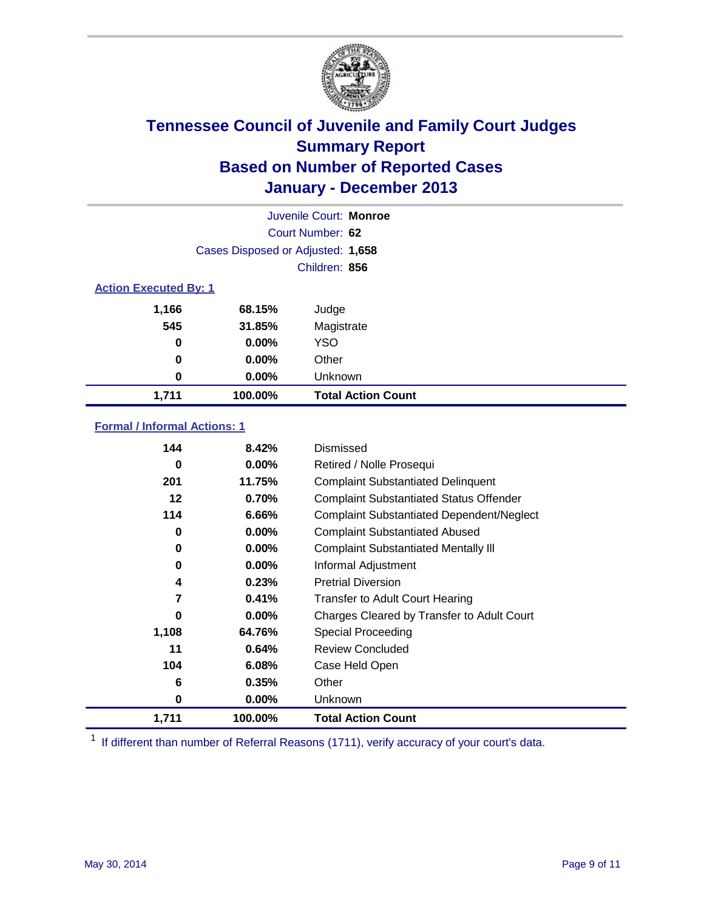

|       |                                   | Juvenile Court: Monroe    |  |  |
|-------|-----------------------------------|---------------------------|--|--|
|       |                                   | Court Number: 62          |  |  |
|       | Cases Disposed or Adjusted: 1,658 |                           |  |  |
|       |                                   | Children: 856             |  |  |
|       | <b>Action Executed By: 1</b>      |                           |  |  |
| 1,166 | 68.15%                            | Judge                     |  |  |
| 545   | 31.85%                            | Magistrate                |  |  |
| 0     | $0.00\%$                          | <b>YSO</b>                |  |  |
| 0     | $0.00\%$                          | Other                     |  |  |
| 0     | $0.00\%$                          | Unknown                   |  |  |
| 1,711 | 100.00%                           | <b>Total Action Count</b> |  |  |

### **Formal / Informal Actions: 1**

| 144   | 8.42%    | Dismissed                                        |
|-------|----------|--------------------------------------------------|
| 0     | $0.00\%$ | Retired / Nolle Prosequi                         |
| 201   | 11.75%   | <b>Complaint Substantiated Delinquent</b>        |
| 12    | 0.70%    | <b>Complaint Substantiated Status Offender</b>   |
| 114   | 6.66%    | <b>Complaint Substantiated Dependent/Neglect</b> |
| 0     | 0.00%    | <b>Complaint Substantiated Abused</b>            |
| 0     | $0.00\%$ | <b>Complaint Substantiated Mentally III</b>      |
| 0     | $0.00\%$ | Informal Adjustment                              |
| 4     | 0.23%    | <b>Pretrial Diversion</b>                        |
| 7     | 0.41%    | <b>Transfer to Adult Court Hearing</b>           |
| 0     | $0.00\%$ | Charges Cleared by Transfer to Adult Court       |
| 1,108 | 64.76%   | Special Proceeding                               |
| 11    | 0.64%    | <b>Review Concluded</b>                          |
| 104   | 6.08%    | Case Held Open                                   |
| 6     | 0.35%    | Other                                            |
| 0     | $0.00\%$ | Unknown                                          |
| 1,711 | 100.00%  | <b>Total Action Count</b>                        |

<sup>1</sup> If different than number of Referral Reasons (1711), verify accuracy of your court's data.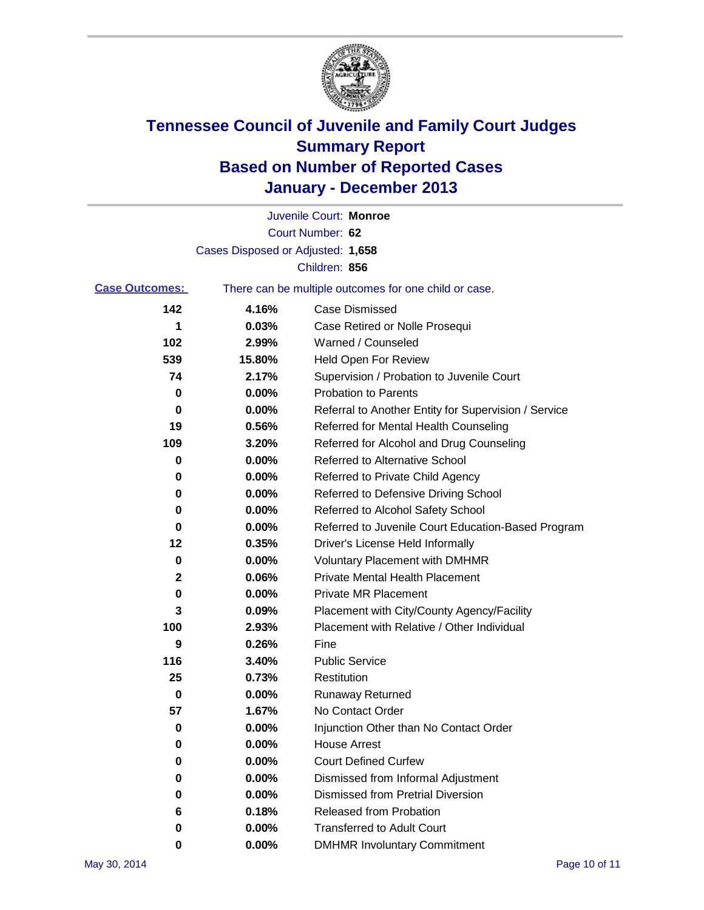

|                       |                                   | Juvenile Court: Monroe                                |
|-----------------------|-----------------------------------|-------------------------------------------------------|
|                       |                                   | Court Number: 62                                      |
|                       | Cases Disposed or Adjusted: 1,658 |                                                       |
|                       |                                   | Children: 856                                         |
| <b>Case Outcomes:</b> |                                   | There can be multiple outcomes for one child or case. |
| 142                   | 4.16%                             | Case Dismissed                                        |
| 1                     | 0.03%                             | Case Retired or Nolle Prosequi                        |
| 102                   | 2.99%                             | Warned / Counseled                                    |
| 539                   | 15.80%                            | <b>Held Open For Review</b>                           |
| 74                    | 2.17%                             | Supervision / Probation to Juvenile Court             |
| 0                     | 0.00%                             | <b>Probation to Parents</b>                           |
| 0                     | 0.00%                             | Referral to Another Entity for Supervision / Service  |
| 19                    | 0.56%                             | Referred for Mental Health Counseling                 |
| 109                   | 3.20%                             | Referred for Alcohol and Drug Counseling              |
| 0                     | 0.00%                             | Referred to Alternative School                        |
| 0                     | 0.00%                             | Referred to Private Child Agency                      |
| 0                     | 0.00%                             | Referred to Defensive Driving School                  |
| 0                     | 0.00%                             | Referred to Alcohol Safety School                     |
| 0                     | 0.00%                             | Referred to Juvenile Court Education-Based Program    |
| 12                    | 0.35%                             | Driver's License Held Informally                      |
| 0                     | 0.00%                             | <b>Voluntary Placement with DMHMR</b>                 |
| 2                     | 0.06%                             | <b>Private Mental Health Placement</b>                |
| 0                     | 0.00%                             | Private MR Placement                                  |
| 3                     | 0.09%                             | Placement with City/County Agency/Facility            |
| 100                   | 2.93%                             | Placement with Relative / Other Individual            |
| 9                     | 0.26%                             | Fine                                                  |
| 116                   | 3.40%                             | <b>Public Service</b>                                 |
| 25                    | 0.73%                             | Restitution                                           |
| 0                     | 0.00%                             | <b>Runaway Returned</b>                               |
| 57                    | 1.67%                             | No Contact Order                                      |
| 0                     | 0.00%                             | Injunction Other than No Contact Order                |
| 0                     | 0.00%                             | <b>House Arrest</b>                                   |
| 0                     | 0.00%                             | <b>Court Defined Curfew</b>                           |
| 0                     | 0.00%                             | Dismissed from Informal Adjustment                    |
| 0                     | 0.00%                             | <b>Dismissed from Pretrial Diversion</b>              |
| 6                     | 0.18%                             | Released from Probation                               |
| 0                     | 0.00%                             | <b>Transferred to Adult Court</b>                     |
| 0                     | $0.00\%$                          | <b>DMHMR Involuntary Commitment</b>                   |